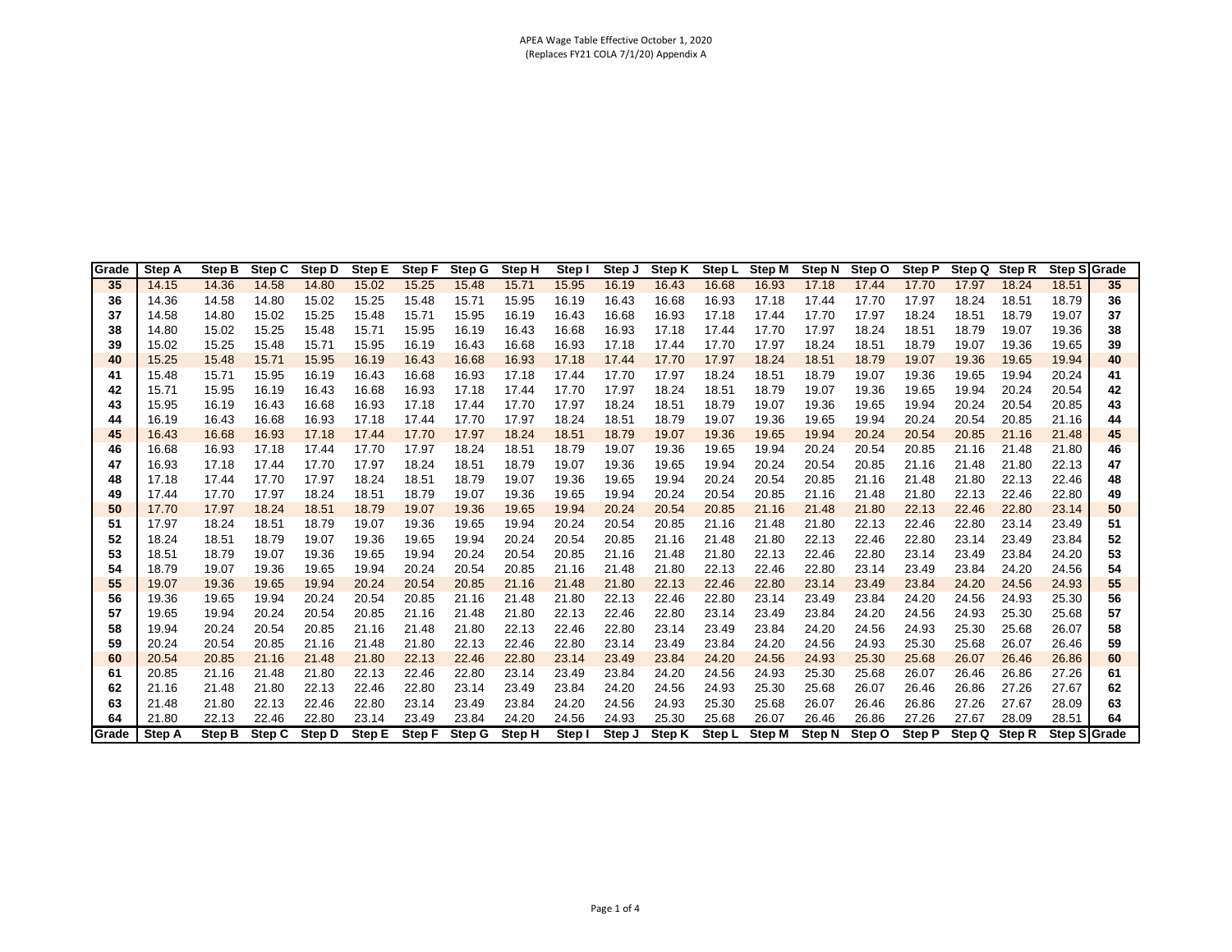| Grade    | <b>Step A</b>  | Step B         | Step C         | Step D         | Step E         | <b>Step F</b>  | <b>Step G</b>  | <b>Step H</b>  | Step I         | Step J         | <b>Step K</b>  |                | Step L Step M  | Step N         | Step O         | Step P         | Step Q         | Step R         | <b>Step Sigrade</b> |          |
|----------|----------------|----------------|----------------|----------------|----------------|----------------|----------------|----------------|----------------|----------------|----------------|----------------|----------------|----------------|----------------|----------------|----------------|----------------|---------------------|----------|
| 35       | 14.15          | 14.36          | 14.58          | 14.80          | 15.02          | 15.25          | 15.48          | 15.71          | 15.95          | 16.19          | 16.43          | 16.68          | 16.93          | 17.18          | 17.44          | 17.70          | 17.97          | 18.24          | 18.51               | 35       |
| 36       | 14.36          | 14.58          | 14.80          | 15.02          | 15.25          | 15.48          | 15.71          | 15.95          | 16.19          | 16.43          | 16.68          | 16.93          | 17.18          | 17.44          | 17.70          | 17.97          | 18.24          | 18.51          | 18.79               | 36       |
| 37       | 14.58          | 14.80          | 15.02          | 15.25          | 15.48          | 15.71          | 15.95          | 16.19          | 16.43          | 16.68          | 16.93          | 17.18          | 17.44          | 17.70          | 17.97          | 18.24          | 18.51          | 18.79          | 19.07               | 37       |
| 38       | 14.80          | 15.02          | 15.25          | 15.48          | 15.71          | 15.95          | 16.19          | 16.43          | 16.68          | 16.93          | 17.18          | 17.44          | 17.70          | 17.97          | 18.24          | 18.51          | 18.79          | 19.07          | 19.36               | 38       |
| 39       | 15.02          | 15.25          | 15.48          | 15.71          | 15.95          | 16.19          | 16.43          | 16.68          | 16.93          | 17.18          | 17.44          | 17.70          | 17.97          | 18.24          | 18.51          | 18.79          | 19.07          | 19.36          | 19.65               | 39       |
| 40       | 15.25          | 15.48          | 15.71          | 15.95          | 16.19          | 16.43          | 16.68          | 16.93          | 17.18          | 17.44          | 17.70          | 17.97          | 18.24          | 18.51          | 18.79          | 19.07          | 19.36          | 19.65          | 19.94               | 40       |
| 41       | 15.48          | 15.71          | 15.95          | 16.19          | 16.43          | 16.68          | 16.93          | 17.18          | 17.44          | 17.70          | 17.97          | 18.24          | 18.51          | 18.79          | 19.07          | 19.36          | 19.65          | 19.94          | 20.24               | 41       |
| 42       | 15.71          | 15.95          | 16.19          | 16.43          | 16.68          | 16.93          | 17.18          | 17.44          | 17.70          | 17.97          | 18.24          | 18.51          | 18.79          | 19.07          | 19.36          | 19.65          | 19.94          | 20.24          | 20.54               | 42       |
| 43       | 15.95          | 16.19          | 16.43          | 16.68          | 16.93          | 17.18          | 17.44          | 17.70          | 17.97          | 18.24          | 18.51          | 18.79          | 19.07          | 19.36          | 19.65          | 19.94          | 20.24          | 20.54          | 20.85               | 43       |
| 44       | 16.19          | 16.43          | 16.68          | 16.93          | 17.18          | 17.44          | 17.70          | 17.97          | 18.24          | 18.51          | 18.79          | 19.07          | 19.36          | 19.65          | 19.94          | 20.24          | 20.54          | 20.85          | 21.16               | 44       |
| 45       | 16.43          | 16.68          | 16.93          | 17.18          | 17.44          | 17.70          | 17.97          | 18.24          | 18.51          | 18.79          | 19.07          | 19.36          | 19.65          | 19.94          | 20.24          | 20.54          | 20.85          | 21.16          | 21.48               | 45       |
| 46       | 16.68          | 16.93          | 17.18          | 17.44          | 17.70          | 17.97          | 18.24          | 18.51          | 18.79          | 19.07          | 19.36          | 19.65          | 19.94          | 20.24          | 20.54          | 20.85          | 21.16          | 21.48          | 21.80               | 46       |
| 47       | 16.93          | 17.18          | 17.44          | 17.70          | 17.97          | 18.24          | 18.51          | 18.79          | 19.07          | 19.36          | 19.65          | 19.94          | 20.24          | 20.54          | 20.85          | 21.16          | 21.48          | 21.80          | 22.13               | 47       |
| 48       | 17.18          | 17.44          | 17.70          | 17.97          | 18.24          | 18.51          | 18.79          | 19.07          | 19.36          | 19.65          | 19.94          | 20.24          | 20.54          | 20.85          | 21.16          | 21.48          | 21.80          | 22.13          | 22.46               | 48       |
| 49       | 17.44          | 17.70          | 17.97          | 18.24          | 18.51          | 18.79          | 19.07          | 19.36          | 19.65          | 19.94          | 20.24          | 20.54          | 20.85          | 21.16          | 21.48          | 21.80          | 22.13          | 22.46          | 22.80               | 49       |
| 50       | 17.70          | 17.97          | 18.24          | 18.51          | 18.79          | 19.07          | 19.36          | 19.65          | 19.94          | 20.24          | 20.54          | 20.85          | 21.16          | 21.48          | 21.80          | 22.13          | 22.46          | 22.80          | 23.14               | 50       |
| 51       | 17.97          | 18.24          | 18.51          | 18.79          | 19.07          | 19.36          | 19.65          | 19.94          | 20.24          | 20.54          | 20.85          | 21.16          | 21.48          | 21.80          | 22.13          | 22.46          | 22.80          | 23.14          | 23.49               | 51       |
| 52       | 18.24          | 18.51          | 18.79          | 19.07          | 19.36          | 19.65          | 19.94          | 20.24          | 20.54          | 20.85          | 21.16          | 21.48          | 21.80          | 22.13          | 22.46          | 22.80          | 23.14          | 23.49          | 23.84               | 52       |
| 53       | 18.51          | 18.79          | 19.07          | 19.36          | 19.65          | 19.94          | 20.24          | 20.54          | 20.85          | 21.16          | 21.48          | 21.80          | 22.13          | 22.46          | 22.80          | 23.14          | 23.49          | 23.84          | 24.20               | 53       |
| 54       | 18.79          | 19.07          | 19.36          | 19.65          | 19.94          | 20.24          | 20.54          | 20.85          | 21.16          | 21.48          | 21.80          | 22.13          | 22.46          | 22.80          | 23.14          | 23.49          | 23.84          | 24.20          | 24.56               | 54       |
| 55       | 19.07          | 19.36          | 19.65          | 19.94          | 20.24          | 20.54          | 20.85          | 21.16          | 21.48          | 21.80          | 22.13          | 22.46          | 22.80          | 23.14          | 23.49          | 23.84          | 24.20          | 24.56          | 24.93               | 55       |
| 56       | 19.36          | 19.65          | 19.94          | 20.24          | 20.54          | 20.85          | 21.16          | 21.48          | 21.80          | 22.13          | 22.46          | 22.80          | 23.14          | 23.49          | 23.84          | 24.20          | 24.56          | 24.93          | 25.30               | 56       |
| 57       | 19.65          | 19.94          | 20.24          | 20.54          | 20.85          | 21.16          | 21.48          | 21.80          | 22.13          | 22.46          | 22.80          | 23.14          | 23.49          | 23.84          | 24.20          | 24.56          | 24.93          | 25.30          | 25.68               | 57       |
| 58       | 19.94          | 20.24          | 20.54<br>20.85 | 20.85<br>21.16 | 21.16          | 21.48          | 21.80          | 22.13<br>22.46 | 22.46          | 22.80          | 23.14          | 23.49          | 23.84          | 24.20          | 24.56          | 24.93          | 25.30          | 25.68<br>26.07 | 26.07<br>26.46      | 58       |
| 59       | 20.24          | 20.54          |                |                | 21.48          | 21.80          | 22.13          |                | 22.80          | 23.14          | 23.49          | 23.84          | 24.20          | 24.56          | 24.93          | 25.30          | 25.68          |                |                     | 59       |
| 60       | 20.54          | 20.85          | 21.16          | 21.48          | 21.80          | 22.13          | 22.46          | 22.80          | 23.14          | 23.49          | 23.84          | 24.20          | 24.56          | 24.93          | 25.30          | 25.68          | 26.07          | 26.46          | 26.86               | 60       |
| 61<br>62 | 20.85<br>21.16 | 21.16          | 21.48<br>21.80 | 21.80<br>22.13 | 22.13          | 22.46<br>22.80 | 22.80<br>23.14 | 23.14<br>23.49 | 23.49<br>23.84 | 23.84<br>24.20 | 24.20          | 24.56<br>24.93 | 24.93<br>25.30 | 25.30<br>25.68 | 25.68<br>26.07 | 26.07          | 26.46<br>26.86 | 26.86<br>27.26 | 27.26<br>27.67      | 61<br>62 |
| 63       |                | 21.48<br>21.80 | 22.13          | 22.46          | 22.46<br>22.80 | 23.14          |                | 23.84          | 24.20          | 24.56          | 24.56<br>24.93 | 25.30          | 25.68          | 26.07          | 26.46          | 26.46<br>26.86 | 27.26          | 27.67          | 28.09               |          |
| 64       | 21.48<br>21.80 | 22.13          | 22.46          | 22.80          | 23.14          | 23.49          | 23.49<br>23.84 | 24.20          | 24.56          | 24.93          | 25.30          | 25.68          | 26.07          | 26.46          | 26.86          | 27.26          | 27.67          | 28.09          | 28.51               | 63<br>64 |
| lGrade   | <b>Step A</b>  | <b>Step B</b>  | Step C         | <b>Step D</b>  | Step E         | <b>Step F</b>  |                | <b>Step H</b>  | Step I         | Step J         | <b>Step K</b>  |                | <b>Step M</b>  | <b>Step N</b>  | Step O         | <b>Step P</b>  | Step Q         | <b>Step R</b>  |                     |          |
|          |                |                |                |                |                |                | Step G         |                |                |                |                | Step L         |                |                |                |                |                |                | Step S Grade        |          |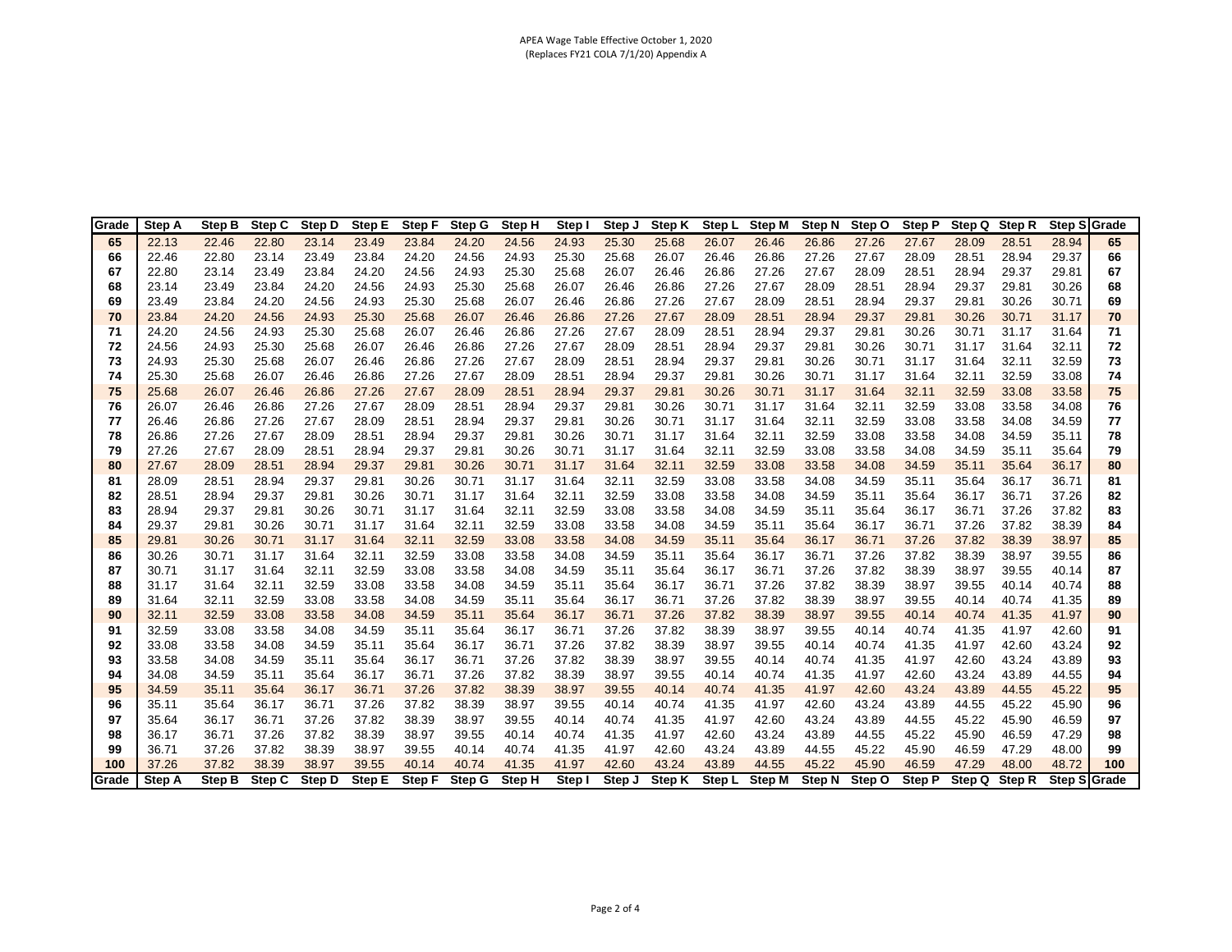| Grade | <b>Step A</b> | Step B | Step C | Step D | Step E | Step F | Step G | Step H | Step I | Step J | Step K        | Step L | <b>Step M</b> | Step N | Step O | <b>Step P</b> | Step Q | Step R | Step SGrade  |     |
|-------|---------------|--------|--------|--------|--------|--------|--------|--------|--------|--------|---------------|--------|---------------|--------|--------|---------------|--------|--------|--------------|-----|
| 65    | 22.13         | 22.46  | 22.80  | 23.14  | 23.49  | 23.84  | 24.20  | 24.56  | 24.93  | 25.30  | 25.68         | 26.07  | 26.46         | 26.86  | 27.26  | 27.67         | 28.09  | 28.51  | 28.94        | 65  |
| 66    | 22.46         | 22.80  | 23.14  | 23.49  | 23.84  | 24.20  | 24.56  | 24.93  | 25.30  | 25.68  | 26.07         | 26.46  | 26.86         | 27.26  | 27.67  | 28.09         | 28.51  | 28.94  | 29.37        | 66  |
| 67    | 22.80         | 23.14  | 23.49  | 23.84  | 24.20  | 24.56  | 24.93  | 25.30  | 25.68  | 26.07  | 26.46         | 26.86  | 27.26         | 27.67  | 28.09  | 28.51         | 28.94  | 29.37  | 29.81        | 67  |
| 68    | 23.14         | 23.49  | 23.84  | 24.20  | 24.56  | 24.93  | 25.30  | 25.68  | 26.07  | 26.46  | 26.86         | 27.26  | 27.67         | 28.09  | 28.51  | 28.94         | 29.37  | 29.81  | 30.26        | 68  |
| 69    | 23.49         | 23.84  | 24.20  | 24.56  | 24.93  | 25.30  | 25.68  | 26.07  | 26.46  | 26.86  | 27.26         | 27.67  | 28.09         | 28.51  | 28.94  | 29.37         | 29.81  | 30.26  | 30.71        | 69  |
| 70    | 23.84         | 24.20  | 24.56  | 24.93  | 25.30  | 25.68  | 26.07  | 26.46  | 26.86  | 27.26  | 27.67         | 28.09  | 28.51         | 28.94  | 29.37  | 29.81         | 30.26  | 30.71  | 31.17        | 70  |
| 71    | 24.20         | 24.56  | 24.93  | 25.30  | 25.68  | 26.07  | 26.46  | 26.86  | 27.26  | 27.67  | 28.09         | 28.51  | 28.94         | 29.37  | 29.81  | 30.26         | 30.71  | 31.17  | 31.64        | 71  |
| 72    | 24.56         | 24.93  | 25.30  | 25.68  | 26.07  | 26.46  | 26.86  | 27.26  | 27.67  | 28.09  | 28.51         | 28.94  | 29.37         | 29.81  | 30.26  | 30.71         | 31.17  | 31.64  | 32.11        | 72  |
| 73    | 24.93         | 25.30  | 25.68  | 26.07  | 26.46  | 26.86  | 27.26  | 27.67  | 28.09  | 28.51  | 28.94         | 29.37  | 29.81         | 30.26  | 30.71  | 31.17         | 31.64  | 32.11  | 32.59        | 73  |
| 74    | 25.30         | 25.68  | 26.07  | 26.46  | 26.86  | 27.26  | 27.67  | 28.09  | 28.51  | 28.94  | 29.37         | 29.81  | 30.26         | 30.71  | 31.17  | 31.64         | 32.11  | 32.59  | 33.08        | 74  |
| 75    | 25.68         | 26.07  | 26.46  | 26.86  | 27.26  | 27.67  | 28.09  | 28.51  | 28.94  | 29.37  | 29.81         | 30.26  | 30.71         | 31.17  | 31.64  | 32.11         | 32.59  | 33.08  | 33.58        | 75  |
| 76    | 26.07         | 26.46  | 26.86  | 27.26  | 27.67  | 28.09  | 28.51  | 28.94  | 29.37  | 29.81  | 30.26         | 30.71  | 31.17         | 31.64  | 32.11  | 32.59         | 33.08  | 33.58  | 34.08        | 76  |
| 77    | 26.46         | 26.86  | 27.26  | 27.67  | 28.09  | 28.51  | 28.94  | 29.37  | 29.81  | 30.26  | 30.71         | 31.17  | 31.64         | 32.11  | 32.59  | 33.08         | 33.58  | 34.08  | 34.59        | 77  |
| 78    | 26.86         | 27.26  | 27.67  | 28.09  | 28.51  | 28.94  | 29.37  | 29.81  | 30.26  | 30.71  | 31.17         | 31.64  | 32.11         | 32.59  | 33.08  | 33.58         | 34.08  | 34.59  | 35.11        | 78  |
| 79    | 27.26         | 27.67  | 28.09  | 28.51  | 28.94  | 29.37  | 29.81  | 30.26  | 30.71  | 31.17  | 31.64         | 32.11  | 32.59         | 33.08  | 33.58  | 34.08         | 34.59  | 35.11  | 35.64        | 79  |
| 80    | 27.67         | 28.09  | 28.51  | 28.94  | 29.37  | 29.81  | 30.26  | 30.71  | 31.17  | 31.64  | 32.11         | 32.59  | 33.08         | 33.58  | 34.08  | 34.59         | 35.11  | 35.64  | 36.17        | 80  |
| 81    | 28.09         | 28.51  | 28.94  | 29.37  | 29.81  | 30.26  | 30.71  | 31.17  | 31.64  | 32.11  | 32.59         | 33.08  | 33.58         | 34.08  | 34.59  | 35.11         | 35.64  | 36.17  | 36.71        | 81  |
| 82    | 28.51         | 28.94  | 29.37  | 29.81  | 30.26  | 30.71  | 31.17  | 31.64  | 32.11  | 32.59  | 33.08         | 33.58  | 34.08         | 34.59  | 35.11  | 35.64         | 36.17  | 36.71  | 37.26        | 82  |
| 83    | 28.94         | 29.37  | 29.81  | 30.26  | 30.71  | 31.17  | 31.64  | 32.11  | 32.59  | 33.08  | 33.58         | 34.08  | 34.59         | 35.11  | 35.64  | 36.17         | 36.71  | 37.26  | 37.82        | 83  |
| 84    | 29.37         | 29.81  | 30.26  | 30.71  | 31.17  | 31.64  | 32.11  | 32.59  | 33.08  | 33.58  | 34.08         | 34.59  | 35.11         | 35.64  | 36.17  | 36.71         | 37.26  | 37.82  | 38.39        | 84  |
| 85    | 29.81         | 30.26  | 30.71  | 31.17  | 31.64  | 32.11  | 32.59  | 33.08  | 33.58  | 34.08  | 34.59         | 35.11  | 35.64         | 36.17  | 36.71  | 37.26         | 37.82  | 38.39  | 38.97        | 85  |
| 86    | 30.26         | 30.71  | 31.17  | 31.64  | 32.11  | 32.59  | 33.08  | 33.58  | 34.08  | 34.59  | 35.11         | 35.64  | 36.17         | 36.71  | 37.26  | 37.82         | 38.39  | 38.97  | 39.55        | 86  |
| 87    | 30.71         | 31.17  | 31.64  | 32.11  | 32.59  | 33.08  | 33.58  | 34.08  | 34.59  | 35.11  | 35.64         | 36.17  | 36.71         | 37.26  | 37.82  | 38.39         | 38.97  | 39.55  | 40.14        | 87  |
| 88    | 31.17         | 31.64  | 32.11  | 32.59  | 33.08  | 33.58  | 34.08  | 34.59  | 35.11  | 35.64  | 36.17         | 36.71  | 37.26         | 37.82  | 38.39  | 38.97         | 39.55  | 40.14  | 40.74        | 88  |
| 89    | 31.64         | 32.11  | 32.59  | 33.08  | 33.58  | 34.08  | 34.59  | 35.11  | 35.64  | 36.17  | 36.71         | 37.26  | 37.82         | 38.39  | 38.97  | 39.55         | 40.14  | 40.74  | 41.35        | 89  |
| 90    | 32.11         | 32.59  | 33.08  | 33.58  | 34.08  | 34.59  | 35.11  | 35.64  | 36.17  | 36.71  | 37.26         | 37.82  | 38.39         | 38.97  | 39.55  | 40.14         | 40.74  | 41.35  | 41.97        | 90  |
| 91    | 32.59         | 33.08  | 33.58  | 34.08  | 34.59  | 35.11  | 35.64  | 36.17  | 36.71  | 37.26  | 37.82         | 38.39  | 38.97         | 39.55  | 40.14  | 40.74         | 41.35  | 41.97  | 42.60        | 91  |
| 92    | 33.08         | 33.58  | 34.08  | 34.59  | 35.11  | 35.64  | 36.17  | 36.71  | 37.26  | 37.82  | 38.39         | 38.97  | 39.55         | 40.14  | 40.74  | 41.35         | 41.97  | 42.60  | 43.24        | 92  |
| 93    | 33.58         | 34.08  | 34.59  | 35.11  | 35.64  | 36.17  | 36.71  | 37.26  | 37.82  | 38.39  | 38.97         | 39.55  | 40.14         | 40.74  | 41.35  | 41.97         | 42.60  | 43.24  | 43.89        | 93  |
| 94    | 34.08         | 34.59  | 35.11  | 35.64  | 36.17  | 36.71  | 37.26  | 37.82  | 38.39  | 38.97  | 39.55         | 40.14  | 40.74         | 41.35  | 41.97  | 42.60         | 43.24  | 43.89  | 44.55        | 94  |
| 95    | 34.59         | 35.11  | 35.64  | 36.17  | 36.71  | 37.26  | 37.82  | 38.39  | 38.97  | 39.55  | 40.14         | 40.74  | 41.35         | 41.97  | 42.60  | 43.24         | 43.89  | 44.55  | 45.22        | 95  |
| 96    | 35.11         | 35.64  | 36.17  | 36.71  | 37.26  | 37.82  | 38.39  | 38.97  | 39.55  | 40.14  | 40.74         | 41.35  | 41.97         | 42.60  | 43.24  | 43.89         | 44.55  | 45.22  | 45.90        | 96  |
| 97    | 35.64         | 36.17  | 36.71  | 37.26  | 37.82  | 38.39  | 38.97  | 39.55  | 40.14  | 40.74  | 41.35         | 41.97  | 42.60         | 43.24  | 43.89  | 44.55         | 45.22  | 45.90  | 46.59        | 97  |
| 98    | 36.17         | 36.71  | 37.26  | 37.82  | 38.39  | 38.97  | 39.55  | 40.14  | 40.74  | 41.35  | 41.97         | 42.60  | 43.24         | 43.89  | 44.55  | 45.22         | 45.90  | 46.59  | 47.29        | 98  |
| 99    | 36.71         | 37.26  | 37.82  | 38.39  | 38.97  | 39.55  | 40.14  | 40.74  | 41.35  | 41.97  | 42.60         | 43.24  | 43.89         | 44.55  | 45.22  | 45.90         | 46.59  | 47.29  | 48.00        | 99  |
| 100   | 37.26         | 37.82  | 38.39  | 38.97  | 39.55  | 40.14  | 40.74  | 41.35  | 41.97  | 42.60  | 43.24         | 43.89  | 44.55         | 45.22  | 45.90  | 46.59         | 47.29  | 48.00  | 48.72        | 100 |
| Grade | Step A        | Step B | Step C | Step D | Step E | Step F | Step G | Step H | Step I | Step J | <b>Step K</b> | Step L | <b>Step M</b> | Step N | Step O | Step P        | Step Q | Step R | Step S Grade |     |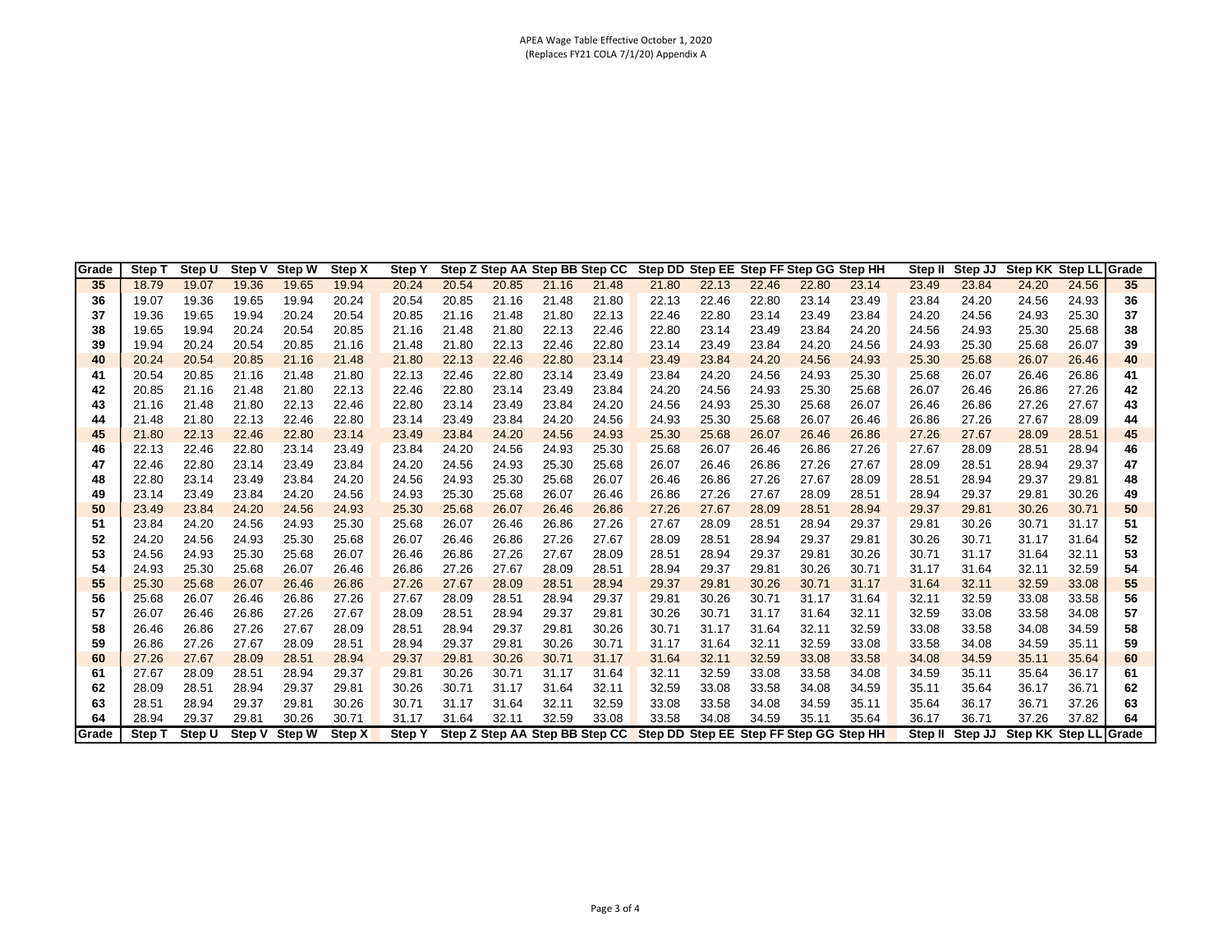## APEA Wage Table Effective October 1, 2020 (Replaces FY21 COLA 7/1/20) Appendix A

| Grade | Step 1      | Step U | Step V | <b>Step W</b> | Step X | <b>Step Y</b> |       |       | Step Z Step AA Step BB Step CC |       | Step DD Step EE Step FF Step GG Step HH |       |       |       |       | Step II | Step JJ | Step KK Step LL Grade |       |    |
|-------|-------------|--------|--------|---------------|--------|---------------|-------|-------|--------------------------------|-------|-----------------------------------------|-------|-------|-------|-------|---------|---------|-----------------------|-------|----|
| 35    | 18.79       | 19.07  | 19.36  | 19.65         | 19.94  | 20.24         | 20.54 | 20.85 | 21.16                          | 21.48 | 21.80                                   | 22.13 | 22.46 | 22.80 | 23.14 | 23.49   | 23.84   | 24.20                 | 24.56 | 35 |
| 36    | 19.07       | 19.36  | 19.65  | 19.94         | 20.24  | 20.54         | 20.85 | 21.16 | 21.48                          | 21.80 | 22.13                                   | 22.46 | 22.80 | 23.14 | 23.49 | 23.84   | 24.20   | 24.56                 | 24.93 | 36 |
| 37    | 19.36       | 19.65  | 19.94  | 20.24         | 20.54  | 20.85         | 21.16 | 21.48 | 21.80                          | 22.13 | 22.46                                   | 22.80 | 23.14 | 23.49 | 23.84 | 24.20   | 24.56   | 24.93                 | 25.30 | 37 |
| 38    | 19.65       | 19.94  | 20.24  | 20.54         | 20.85  | 21.16         | 21.48 | 21.80 | 22.13                          | 22.46 | 22.80                                   | 23.14 | 23.49 | 23.84 | 24.20 | 24.56   | 24.93   | 25.30                 | 25.68 | 38 |
| 39    | 19.94       | 20.24  | 20.54  | 20.85         | 21.16  | 21.48         | 21.80 | 22.13 | 22.46                          | 22.80 | 23.14                                   | 23.49 | 23.84 | 24.20 | 24.56 | 24.93   | 25.30   | 25.68                 | 26.07 | 39 |
| 40    | 20.24       | 20.54  | 20.85  | 21.16         | 21.48  | 21.80         | 22.13 | 22.46 | 22.80                          | 23.14 | 23.49                                   | 23.84 | 24.20 | 24.56 | 24.93 | 25.30   | 25.68   | 26.07                 | 26.46 | 40 |
| 41    | 20.54       | 20.85  | 21.16  | 21.48         | 21.80  | 22.13         | 22.46 | 22.80 | 23.14                          | 23.49 | 23.84                                   | 24.20 | 24.56 | 24.93 | 25.30 | 25.68   | 26.07   | 26.46                 | 26.86 | 41 |
| 42    | 20.85       | 21.16  | 21.48  | 21.80         | 22.13  | 22.46         | 22.80 | 23.14 | 23.49                          | 23.84 | 24.20                                   | 24.56 | 24.93 | 25.30 | 25.68 | 26.07   | 26.46   | 26.86                 | 27.26 | 42 |
| 43    | 21.16       | 21.48  | 21.80  | 22.13         | 22.46  | 22.80         | 23.14 | 23.49 | 23.84                          | 24.20 | 24.56                                   | 24.93 | 25.30 | 25.68 | 26.07 | 26.46   | 26.86   | 27.26                 | 27.67 | 43 |
| 44    | 21.48       | 21.80  | 22.13  | 22.46         | 22.80  | 23.14         | 23.49 | 23.84 | 24.20                          | 24.56 | 24.93                                   | 25.30 | 25.68 | 26.07 | 26.46 | 26.86   | 27.26   | 27.67                 | 28.09 | 44 |
| 45    | 21.80       | 22.13  | 22.46  | 22.80         | 23.14  | 23.49         | 23.84 | 24.20 | 24.56                          | 24.93 | 25.30                                   | 25.68 | 26.07 | 26.46 | 26.86 | 27.26   | 27.67   | 28.09                 | 28.51 | 45 |
| 46    | 22.13       | 22.46  | 22.80  | 23.14         | 23.49  | 23.84         | 24.20 | 24.56 | 24.93                          | 25.30 | 25.68                                   | 26.07 | 26.46 | 26.86 | 27.26 | 27.67   | 28.09   | 28.51                 | 28.94 | 46 |
| 47    | 22.46       | 22.80  | 23.14  | 23.49         | 23.84  | 24.20         | 24.56 | 24.93 | 25.30                          | 25.68 | 26.07                                   | 26.46 | 26.86 | 27.26 | 27.67 | 28.09   | 28.51   | 28.94                 | 29.37 | 47 |
| 48    | 22.80       | 23.14  | 23.49  | 23.84         | 24.20  | 24.56         | 24.93 | 25.30 | 25.68                          | 26.07 | 26.46                                   | 26.86 | 27.26 | 27.67 | 28.09 | 28.51   | 28.94   | 29.37                 | 29.81 | 48 |
| 49    | 23.14       | 23.49  | 23.84  | 24.20         | 24.56  | 24.93         | 25.30 | 25.68 | 26.07                          | 26.46 | 26.86                                   | 27.26 | 27.67 | 28.09 | 28.51 | 28.94   | 29.37   | 29.81                 | 30.26 | 49 |
| 50    | 23.49       | 23.84  | 24.20  | 24.56         | 24.93  | 25.30         | 25.68 | 26.07 | 26.46                          | 26.86 | 27.26                                   | 27.67 | 28.09 | 28.51 | 28.94 | 29.37   | 29.81   | 30.26                 | 30.71 | 50 |
| 51    | 23.84       | 24.20  | 24.56  | 24.93         | 25.30  | 25.68         | 26.07 | 26.46 | 26.86                          | 27.26 | 27.67                                   | 28.09 | 28.51 | 28.94 | 29.37 | 29.81   | 30.26   | 30.71                 | 31.17 | 51 |
| 52    | 24.20       | 24.56  | 24.93  | 25.30         | 25.68  | 26.07         | 26.46 | 26.86 | 27.26                          | 27.67 | 28.09                                   | 28.51 | 28.94 | 29.37 | 29.81 | 30.26   | 30.71   | 31.17                 | 31.64 | 52 |
| 53    | 24.56       | 24.93  | 25.30  | 25.68         | 26.07  | 26.46         | 26.86 | 27.26 | 27.67                          | 28.09 | 28.51                                   | 28.94 | 29.37 | 29.81 | 30.26 | 30.71   | 31.17   | 31.64                 | 32.11 | 53 |
| 54    | 24.93       | 25.30  | 25.68  | 26.07         | 26.46  | 26.86         | 27.26 | 27.67 | 28.09                          | 28.51 | 28.94                                   | 29.37 | 29.81 | 30.26 | 30.71 | 31.17   | 31.64   | 32.11                 | 32.59 | 54 |
| 55    | 25.30       | 25.68  | 26.07  | 26.46         | 26.86  | 27.26         | 27.67 | 28.09 | 28.51                          | 28.94 | 29.37                                   | 29.81 | 30.26 | 30.71 | 31.17 | 31.64   | 32.11   | 32.59                 | 33.08 | 55 |
| 56    | 25.68       | 26.07  | 26.46  | 26.86         | 27.26  | 27.67         | 28.09 | 28.51 | 28.94                          | 29.37 | 29.81                                   | 30.26 | 30.71 | 31.17 | 31.64 | 32.11   | 32.59   | 33.08                 | 33.58 | 56 |
| 57    | 26.07       | 26.46  | 26.86  | 27.26         | 27.67  | 28.09         | 28.51 | 28.94 | 29.37                          | 29.81 | 30.26                                   | 30.71 | 31.17 | 31.64 | 32.11 | 32.59   | 33.08   | 33.58                 | 34.08 | 57 |
| 58    | 26.46       | 26.86  | 27.26  | 27.67         | 28.09  | 28.51         | 28.94 | 29.37 | 29.81                          | 30.26 | 30.71                                   | 31.17 | 31.64 | 32.11 | 32.59 | 33.08   | 33.58   | 34.08                 | 34.59 | 58 |
| 59    | 26.86       | 27.26  | 27.67  | 28.09         | 28.51  | 28.94         | 29.37 | 29.81 | 30.26                          | 30.71 | 31.17                                   | 31.64 | 32.11 | 32.59 | 33.08 | 33.58   | 34.08   | 34.59                 | 35.11 | 59 |
| 60    | 27.26       | 27.67  | 28.09  | 28.51         | 28.94  | 29.37         | 29.81 | 30.26 | 30.71                          | 31.17 | 31.64                                   | 32.11 | 32.59 | 33.08 | 33.58 | 34.08   | 34.59   | 35.11                 | 35.64 | 60 |
| 61    | 27.67       | 28.09  | 28.51  | 28.94         | 29.37  | 29.81         | 30.26 | 30.71 | 31.17                          | 31.64 | 32.11                                   | 32.59 | 33.08 | 33.58 | 34.08 | 34.59   | 35.11   | 35.64                 | 36.17 | 61 |
| 62    | 28.09       | 28.51  | 28.94  | 29.37         | 29.81  | 30.26         | 30.71 | 31.17 | 31.64                          | 32.11 | 32.59                                   | 33.08 | 33.58 | 34.08 | 34.59 | 35.11   | 35.64   | 36.17                 | 36.71 | 62 |
| 63    | 28.51       | 28.94  | 29.37  | 29.81         | 30.26  | 30.71         | 31.17 | 31.64 | 32.11                          | 32.59 | 33.08                                   | 33.58 | 34.08 | 34.59 | 35.11 | 35.64   | 36.17   | 36.71                 | 37.26 | 63 |
| 64    | 28.94       | 29.37  | 29.81  | 30.26         | 30.71  | 31.17         | 31.64 | 32.11 | 32.59                          | 33.08 | 33.58                                   | 34.08 | 34.59 | 35.11 | 35.64 | 36.17   | 36.71   | 37.26                 | 37.82 | 64 |
| Grade | <b>Step</b> | Step U | Step V | <b>Step W</b> | Step X | <b>Step Y</b> |       |       | Step Z Step AA Step BB Step CC |       | Step DD Step EE Step FF Step GG Step HH |       |       |       |       | Step II | Step JJ | Step KK Step LL Grade |       |    |